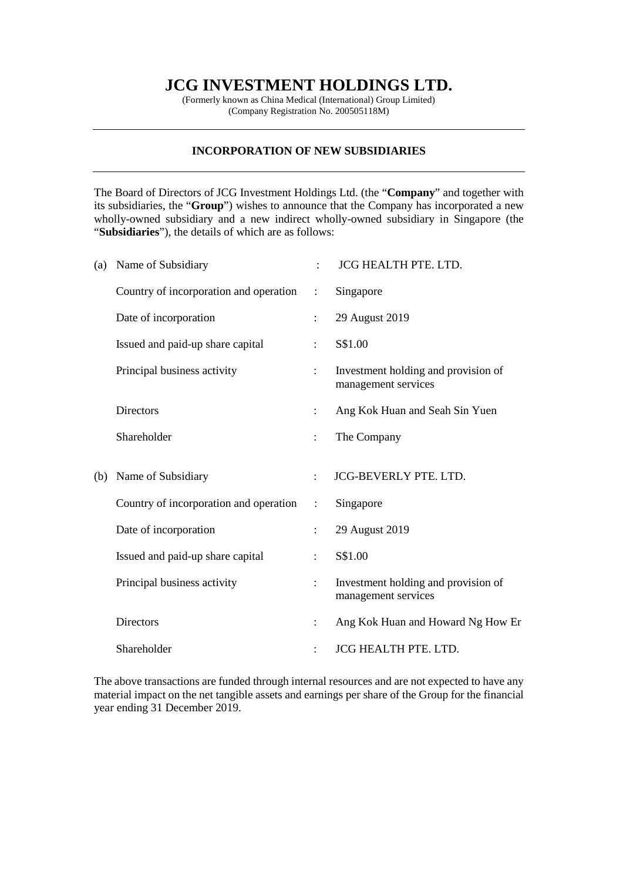## **JCG INVESTMENT HOLDINGS LTD.**

(Formerly known as China Medical (International) Group Limited) (Company Registration No. 200505118M)

## **INCORPORATION OF NEW SUBSIDIARIES**

The Board of Directors of JCG Investment Holdings Ltd. (the "**Company**" and together with its subsidiaries, the "**Group**") wishes to announce that the Company has incorporated a new wholly-owned subsidiary and a new indirect wholly-owned subsidiary in Singapore (the "**Subsidiaries**"), the details of which are as follows:

| (a) | Name of Subsidiary                     |                      | <b>JCG HEALTH PTE. LTD.</b>                                |
|-----|----------------------------------------|----------------------|------------------------------------------------------------|
|     | Country of incorporation and operation | $\ddot{\phantom{a}}$ | Singapore                                                  |
|     | Date of incorporation                  |                      | 29 August 2019                                             |
|     | Issued and paid-up share capital       |                      | S\$1.00                                                    |
|     | Principal business activity            |                      | Investment holding and provision of<br>management services |
|     | <b>Directors</b>                       |                      | Ang Kok Huan and Seah Sin Yuen                             |
|     | Shareholder                            | $\ddot{\cdot}$       | The Company                                                |
| (b) | Name of Subsidiary                     |                      | <b>JCG-BEVERLY PTE. LTD.</b>                               |
|     | Country of incorporation and operation | $\ddot{\cdot}$       | Singapore                                                  |
|     | Date of incorporation                  |                      | 29 August 2019                                             |
|     | Issued and paid-up share capital       | ÷                    | S\$1.00                                                    |
|     |                                        |                      |                                                            |
|     | Principal business activity            |                      | Investment holding and provision of<br>management services |
|     | <b>Directors</b>                       |                      | Ang Kok Huan and Howard Ng How Er                          |

The above transactions are funded through internal resources and are not expected to have any material impact on the net tangible assets and earnings per share of the Group for the financial year ending 31 December 2019.